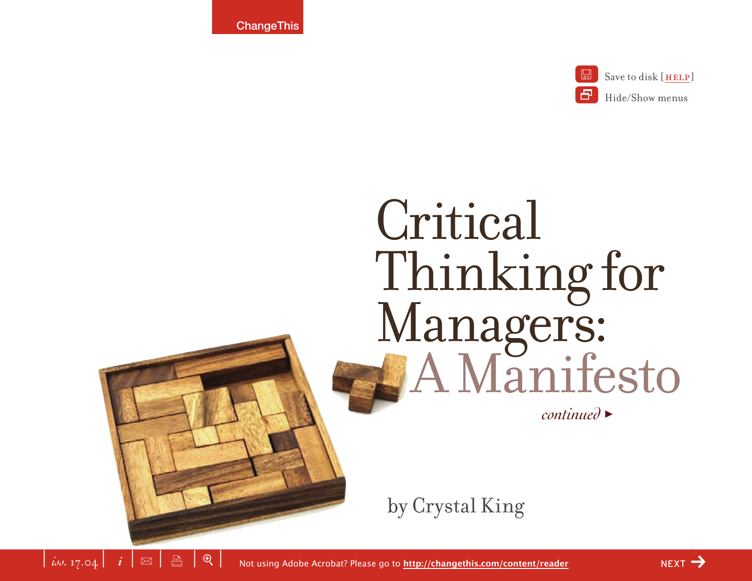**ChangeThis** 

 $\mid$   $i$ s. 17.04  $\mid$   $i$   $\mid$   $\boxtimes$   $\mid$   $\stackrel{\triangle}{=}$   $\mid$   $\oplus$ 



# Critical Thinking for Managers: A Manifesto

*continued* >

by Crystal King

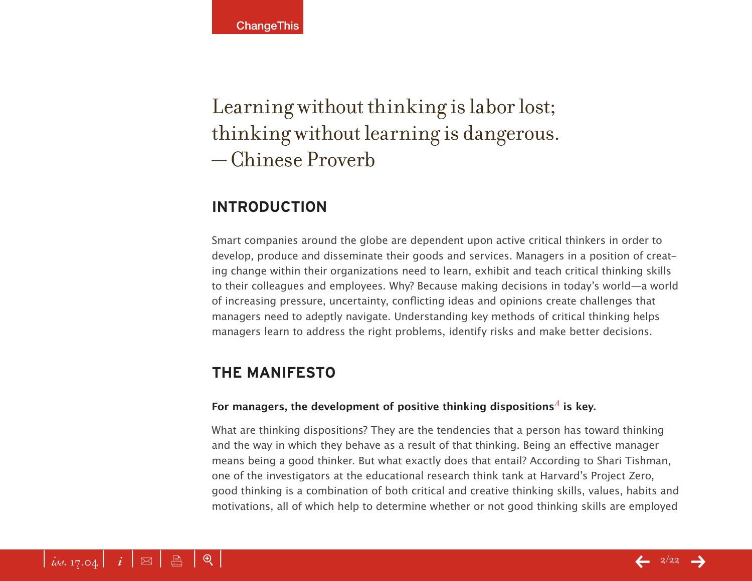# Learning without thinking is labor lost; thinking without learning is dangerous. — Chinese Proverb

# **Introduction**

Smart companies around the globe are dependent upon active critical thinkers in order to develop, produce and disseminate their goods and services. Managers in a position of creating change within their organizations need to learn, exhibit and teach critical thinking skills to their colleagues and employees. Why? Because making decisions in today's world—a world of increasing pressure, uncertainty, conflicting ideas and opinions create challenges that managers need to adeptly navigate. Understanding key methods of critical thinking helps managers learn to address the right problems, identify risks and make better decisions.

# **The Manifesto**

## For m[a](#page-18-0)nagers, the development of positive thinking dispositions<sup> $A$ </sup> is key.

What are thinking dispositions? They are the tendencies that a person has toward thinking and the way in which they behave as a result of that thinking. Being an effective manager means being a good thinker. But what exactly does that entail? According to Shari Tishman, one of the investigators at the educational research think tank at Harvard's Project Zero, good thinking is a combination of both critical and creative thinking skills, values, habits and motivations, all of which help to determine whether or not good thinking skills are employed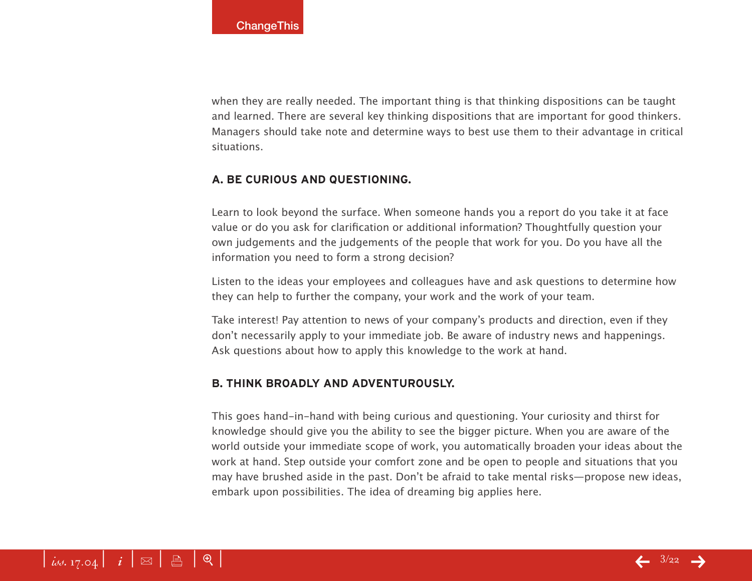when they are really needed. The important thing is that thinking dispositions can be taught and learned. There are several key thinking dispositions that are important for good thinkers. Managers should take note and determine ways to best use them to their advantage in critical situations.

#### **a. Be curious and questioning.**

Learn to look beyond the surface. When someone hands you a report do you take it at face value or do you ask for clarification or additional information? Thoughtfully question your own judgements and the judgements of the people that work for you. Do you have all the information you need to form a strong decision?

Listen to the ideas your employees and colleagues have and ask questions to determine how they can help to further the company, your work and the work of your team.

Take interest! Pay attention to news of your company's products and direction, even if they don't necessarily apply to your immediate job. Be aware of industry news and happenings. Ask questions about how to apply this knowledge to the work at hand.

#### **b. Think broadly and adventurously.**

This goes hand-in-hand with being curious and questioning. Your curiosity and thirst for knowledge should give you the ability to see the bigger picture. When you are aware of the world outside your immediate scope of work, you automatically broaden your ideas about the work at hand. Step outside your comfort zone and be open to people and situations that you may have brushed aside in the past. Don't be afraid to take mental risks—propose new ideas, embark upon possibilities. The idea of dreaming big applies here.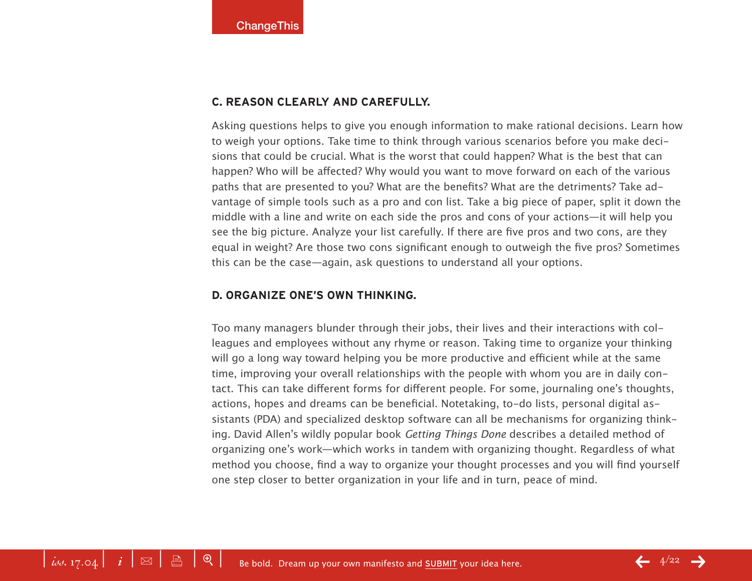#### **c. Reason clearly and carefully.**

Asking questions helps to give you enough information to make rational decisions. Learn how to weigh your options. Take time to think through various scenarios before you make decisions that could be crucial. What is the worst that could happen? What is the best that can happen? Who will be affected? Why would you want to move forward on each of the various paths that are presented to you? What are the benefits? What are the detriments? Take advantage of simple tools such as a pro and con list. Take a big piece of paper, split it down the middle with a line and write on each side the pros and cons of your actions—it will help you see the big picture. Analyze your list carefully. If there are five pros and two cons, are they equal in weight? Are those two cons significant enough to outweigh the five pros? Sometimes this can be the case—again, ask questions to understand all your options.

#### **d. Organize one's own thinking.**

Too many managers blunder through their jobs, their lives and their interactions with colleagues and employees without any rhyme or reason. Taking time to organize your thinking will go a long way toward helping you be more productive and efficient while at the same time, improving your overall relationships with the people with whom you are in daily contact. This can take different forms for different people. For some, journaling one's thoughts, actions, hopes and dreams can be beneficial. Notetaking, to-do lists, personal digital assistants (PDA) and specialized desktop software can all be mechanisms for organizing thinking. David Allen's wildly popular book *Getting Things Done* describes a detailed method of organizing one's work—which works in tandem with organizing thought. Regardless of what method you choose, find a way to organize your thought processes and you will find yourself one step closer to better organization in your life and in turn, peace of mind.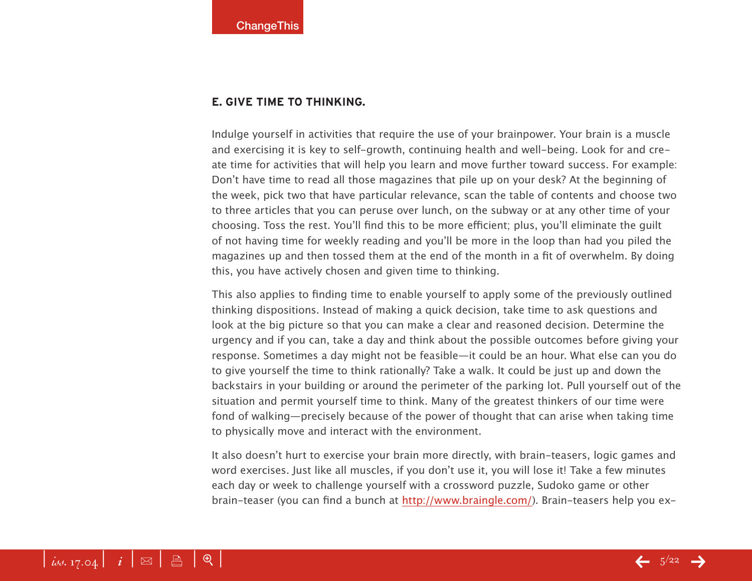#### **e. Give time to thinking.**

Indulge yourself in activities that require the use of your brainpower. Your brain is a muscle and exercising it is key to self-growth, continuing health and well-being. Look for and create time for activities that will help you learn and move further toward success. For example: Don't have time to read all those magazines that pile up on your desk? At the beginning of the week, pick two that have particular relevance, scan the table of contents and choose two to three articles that you can peruse over lunch, on the subway or at any other time of your choosing. Toss the rest. You'll find this to be more efficient; plus, you'll eliminate the guilt of not having time for weekly reading and you'll be more in the loop than had you piled the magazines up and then tossed them at the end of the month in a fit of overwhelm. By doing this, you have actively chosen and given time to thinking.

This also applies to finding time to enable yourself to apply some of the previously outlined thinking dispositions. Instead of making a quick decision, take time to ask questions and look at the big picture so that you can make a clear and reasoned decision. Determine the urgency and if you can, take a day and think about the possible outcomes before giving your response. Sometimes a day might not be feasible—it could be an hour. What else can you do to give yourself the time to think rationally? Take a walk. It could be just up and down the backstairs in your building or around the perimeter of the parking lot. Pull yourself out of the situation and permit yourself time to think. Many of the greatest thinkers of our time were fond of walking—precisely because of the power of thought that can arise when taking time to physically move and interact with the environment.

It also doesn't hurt to exercise your brain more directly, with brain-teasers, logic games and word exercises. Just like all muscles, if you don't use it, you will lose it! Take a few minutes each day or week to challenge yourself with a crossword puzzle, Sudoko game or other brain-teaser (you can find a bunch at<http://www.braingle.com/>[\). Br](http://www.braingle.com)ain-teasers help you ex-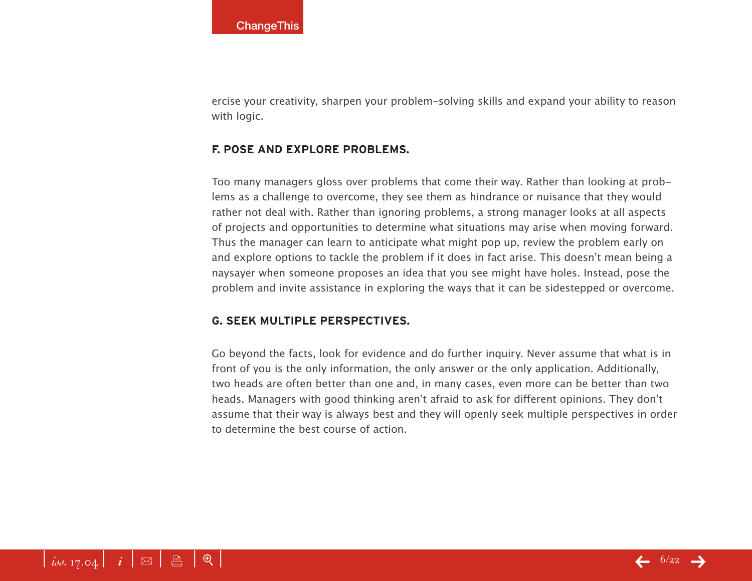ercise your creativity, sharpen your problem-solving skills and expand your ability to reason with logic.

#### **f. Pose and explore problems.**

Too many managers gloss over problems that come their way. Rather than looking at problems as a challenge to overcome, they see them as hindrance or nuisance that they would rather not deal with. Rather than ignoring problems, a strong manager looks at all aspects of projects and opportunities to determine what situations may arise when moving forward. Thus the manager can learn to anticipate what might pop up, review the problem early on and explore options to tackle the problem if it does in fact arise. This doesn't mean being a naysayer when someone proposes an idea that you see might have holes. Instead, pose the problem and invite assistance in exploring the ways that it can be sidestepped or overcome.

## **g. Seek multiple perspectives.**

Go beyond the facts, look for evidence and do further inquiry. Never assume that what is in front of you is the only information, the only answer or the only application. Additionally, two heads are often better than one and, in many cases, even more can be better than two heads. Managers with good thinking aren't afraid to ask for different opinions. They don't assume that their way is always best and they will openly seek multiple perspectives in order to determine the best course of action.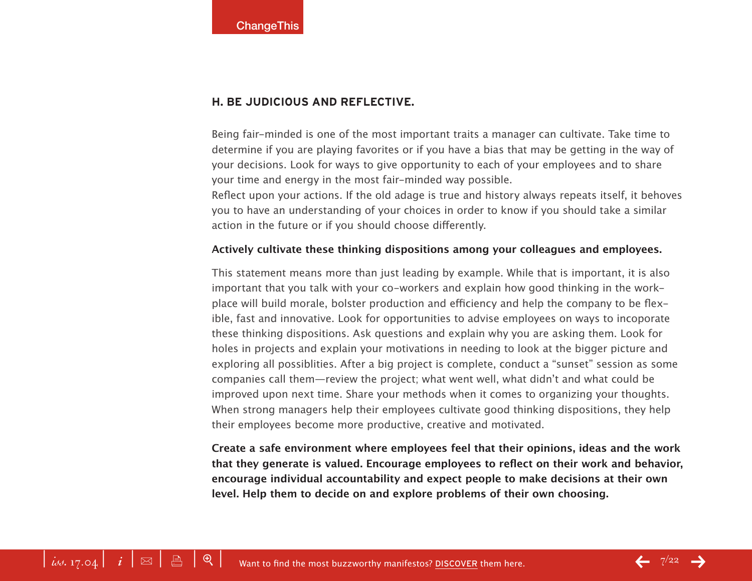#### **h. Be judicious and reflective.**

Being fair-minded is one of the most important traits a manager can cultivate. Take time to determine if you are playing favorites or if you have a bias that may be getting in the way of your decisions. Look for ways to give opportunity to each of your employees and to share your time and energy in the most fair-minded way possible.

Reflect upon your actions. If the old adage is true and history always repeats itself, it behoves you to have an understanding of your choices in order to know if you should take a similar action in the future or if you should choose differently.

#### **Actively cultivate these thinking dispositions among your colleagues and employees.**

This statement means more than just leading by example. While that is important, it is also important that you talk with your co-workers and explain how good thinking in the workplace will build morale, bolster production and efficiency and help the company to be flexible, fast and innovative. Look for opportunities to advise employees on ways to incoporate these thinking dispositions. Ask questions and explain why you are asking them. Look for holes in projects and explain your motivations in needing to look at the bigger picture and exploring all possiblities. After a big project is complete, conduct a "sunset" session as some companies call them—review the project; what went well, what didn't and what could be improved upon next time. Share your methods when it comes to organizing your thoughts. When strong managers help their employees cultivate good thinking dispositions, they help their employees become more productive, creative and motivated.

**Create a safe environment where employees feel that their opinions, ideas and the work that they generate is valued. Encourage employees to reflect on their work and behavior, encourage individual accountability and expect people to make decisions at their own level. Help them to decide on and explore problems of their own choosing.**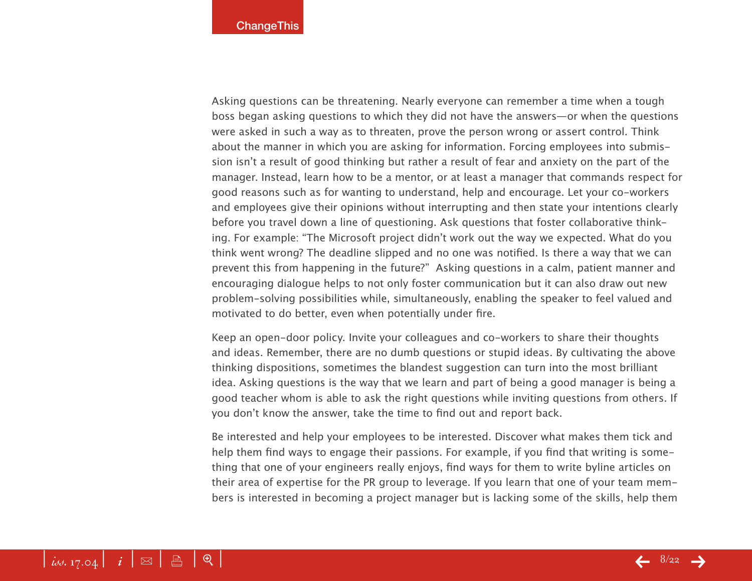Asking questions can be threatening. Nearly everyone can remember a time when a tough boss began asking questions to which they did not have the answers—or when the questions were asked in such a way as to threaten, prove the person wrong or assert control. Think about the manner in which you are asking for information. Forcing employees into submission isn't a result of good thinking but rather a result of fear and anxiety on the part of the manager. Instead, learn how to be a mentor, or at least a manager that commands respect for good reasons such as for wanting to understand, help and encourage. Let your co-workers and employees give their opinions without interrupting and then state your intentions clearly before you travel down a line of questioning. Ask questions that foster collaborative thinking. For example: "The Microsoft project didn't work out the way we expected. What do you think went wrong? The deadline slipped and no one was notified. Is there a way that we can prevent this from happening in the future?" Asking questions in a calm, patient manner and encouraging dialogue helps to not only foster communication but it can also draw out new problem-solving possibilities while, simultaneously, enabling the speaker to feel valued and motivated to do better, even when potentially under fire.

Keep an open-door policy. Invite your colleagues and co-workers to share their thoughts and ideas. Remember, there are no dumb questions or stupid ideas. By cultivating the above thinking dispositions, sometimes the blandest suggestion can turn into the most brilliant idea. Asking questions is the way that we learn and part of being a good manager is being a good teacher whom is able to ask the right questions while inviting questions from others. If you don't know the answer, take the time to find out and report back.

Be interested and help your employees to be interested. Discover what makes them tick and help them find ways to engage their passions. For example, if you find that writing is something that one of your engineers really enjoys, find ways for them to write byline articles on their area of expertise for the PR group to leverage. If you learn that one of your team members is interested in becoming a project manager but is lacking some of the skills, help them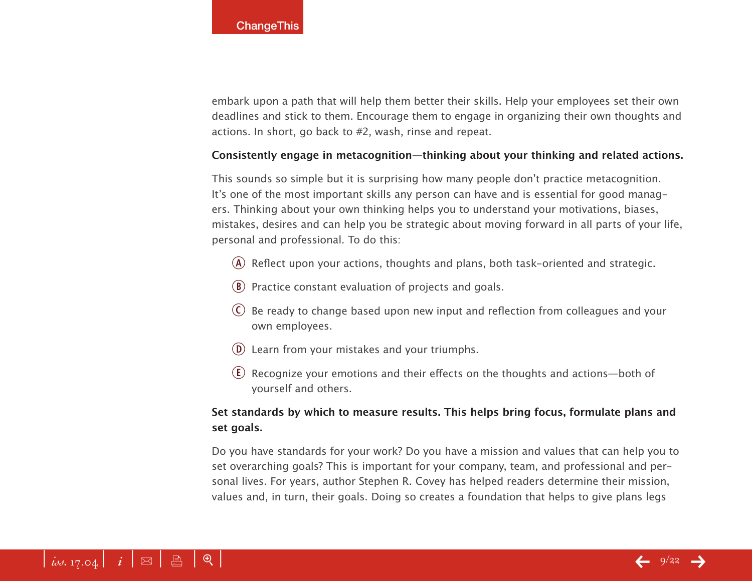embark upon a path that will help them better their skills. Help your employees set their own deadlines and stick to them. Encourage them to engage in organizing their own thoughts and actions. In short, go back to #2, wash, rinse and repeat.

#### **Consistently engage in metacognition—thinking about your thinking and related actions.**

This sounds so simple but it is surprising how many people don't practice metacognition. It's one of the most important skills any person can have and is essential for good managers. Thinking about your own thinking helps you to understand your motivations, biases, mistakes, desires and can help you be strategic about moving forward in all parts of your life, personal and professional. To do this:

- $\overline{A}$  Reflect upon your actions, thoughts and plans, both task-oriented and strategic.
- $\circledR$  Practice constant evaluation of projects and goals.
- $\overline{C}$  Be ready to change based upon new input and reflection from colleagues and your own employees.
- $\overline{0}$  Learn from your mistakes and your triumphs.
- $\overline{E}$ ) Recognize your emotions and their effects on the thoughts and actions—both of yourself and others.

# **Set standards by which to measure results. This helps bring focus, formulate plans and set goals.**

Do you have standards for your work? Do you have a mission and values that can help you to set overarching goals? This is important for your company, team, and professional and personal lives. For years, author Stephen R. Covey has helped readers determine their mission, values and, in turn, their goals. Doing so creates a foundation that helps to give plans legs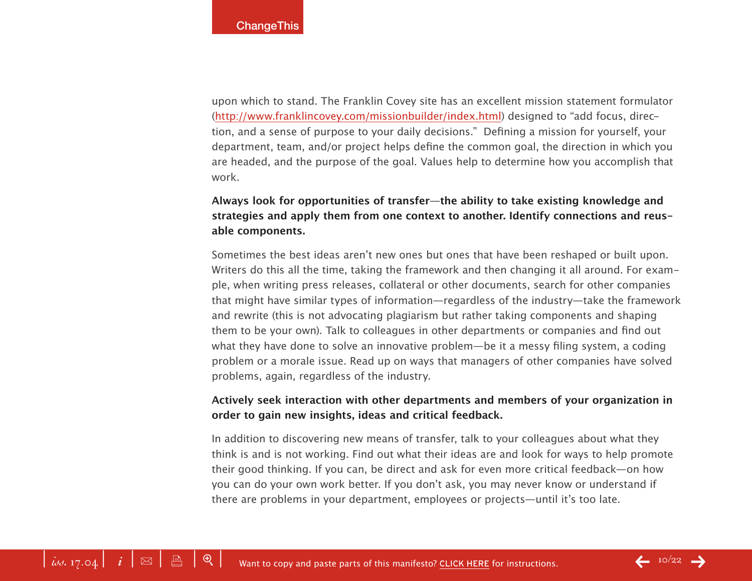upon which to stand. The Franklin Covey site has an excellent mission statement formulator ([http://www.franklincovey.com/missionbuilder/index.htm](http://www.franklincovey.com/missionbuilder/index.html)l) designed to "add focus, direction, and a sense of purpose to your daily decisions." Defining a mission for yourself, your department, team, and/or project helps define the common goal, the direction in which you are headed, and the purpose of the goal. Values help to determine how you accomplish that work.

# **Always look for opportunities of transfer—the ability to take existing knowledge and strategies and apply them from one context to another. Identify connections and reusable components.**

Sometimes the best ideas aren't new ones but ones that have been reshaped or built upon. Writers do this all the time, taking the framework and then changing it all around. For example, when writing press releases, collateral or other documents, search for other companies that might have similar types of information—regardless of the industry—take the framework and rewrite (this is not advocating plagiarism but rather taking components and shaping them to be your own). Talk to colleagues in other departments or companies and find out what they have done to solve an innovative problem—be it a messy filing system, a coding problem or a morale issue. Read up on ways that managers of other companies have solved problems, again, regardless of the industry.

## **Actively seek interaction with other departments and members of your organization in order to gain new insights, ideas and critical feedback.**

In addition to discovering new means of transfer, talk to your colleagues about what they think is and is not working. Find out what their ideas are and look for ways to help promote their good thinking. If you can, be direct and ask for even more critical feedback—on how you can do your own work better. If you don't ask, you may never know or understand if there are problems in your department, employees or projects—until it's too late.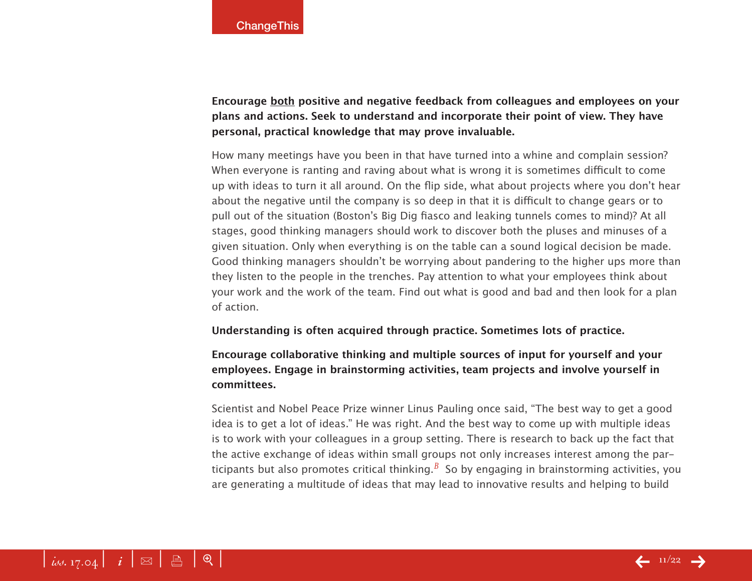**Encourage both positive and negative feedback from colleagues and employees on your plans and actions. Seek to understand and incorporate their point of view. They have personal, practical knowledge that may prove invaluable.** 

How many meetings have you been in that have turned into a whine and complain session? When everyone is ranting and raving about what is wrong it is sometimes difficult to come up with ideas to turn it all around. On the flip side, what about projects where you don't hear about the negative until the company is so deep in that it is difficult to change gears or to pull out of the situation (Boston's Big Dig fiasco and leaking tunnels comes to mind)? At all stages, good thinking managers should work to discover both the pluses and minuses of a given situation. Only when everything is on the table can a sound logical decision be made. Good thinking managers shouldn't be worrying about pandering to the higher ups more than they listen to the people in the trenches. Pay attention to what your employees think about your work and the work of the team. Find out what is good and bad and then look for a plan of action.

#### **Understanding is often acquired through practice. Sometimes lots of practice.**

# **Encourage collaborative thinking and multiple sources of input for yourself and your employees. Engage in brainstorming activities, team projects and involve yourself in committees.**

Scientist and Nobel Peace Prize winner Linus Pauling once said, "The best way to get a good idea is to get a lot of ideas." He was right. And the best way to come up with multiple ideas is to work with your colleagues in a group setting. There is research to back up the fact that the active exchange of ideas within small groups not only increases interest among the participants but also promotes critical thinking.*[b](#page-18-0)* So by engaging in brainstorming activities, you are generating a multitude of ideas that may lead to innovative results and helping to build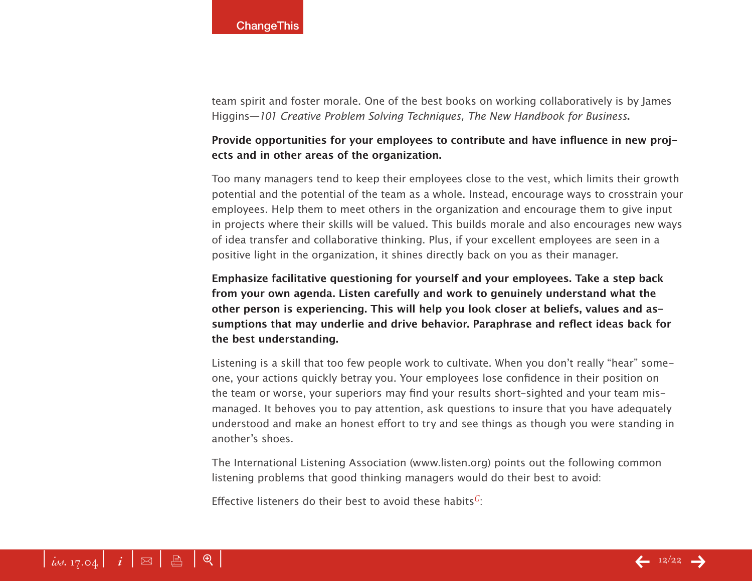team spirit and foster morale. One of the best books on working collaboratively is by James Higgins—*101 Creative Problem Solving Techniques, The New Handbook for Business***.**

# **Provide opportunities for your employees to contribute and have influence in new projects and in other areas of the organization.**

Too many managers tend to keep their employees close to the vest, which limits their growth potential and the potential of the team as a whole. Instead, encourage ways to crosstrain your employees. Help them to meet others in the organization and encourage them to give input in projects where their skills will be valued. This builds morale and also encourages new ways of idea transfer and collaborative thinking. Plus, if your excellent employees are seen in a positive light in the organization, it shines directly back on you as their manager.

**Emphasize facilitative questioning for yourself and your employees. Take a step back from your own agenda. Listen carefully and work to genuinely understand what the other person is experiencing. This will help you look closer at beliefs, values and assumptions that may underlie and drive behavior. Paraphrase and reflect ideas back for the best understanding.**

Listening is a skill that too few people work to cultivate. When you don't really "hear" someone, your actions quickly betray you. Your employees lose confidence in their position on the team or worse, your superiors may find your results short-sighted and your team mismanaged. It behoves you to pay attention, ask questions to insure that you have adequately understood and make an honest effort to try and see things as though you were standing in another's shoes.

The International Listening Association [\(www.listen.org\)](http://www.listen.org) points out the following common listening problems that good thinking managers would do their best to avoid:

Effective listeners do their best to avoid these habits*c*: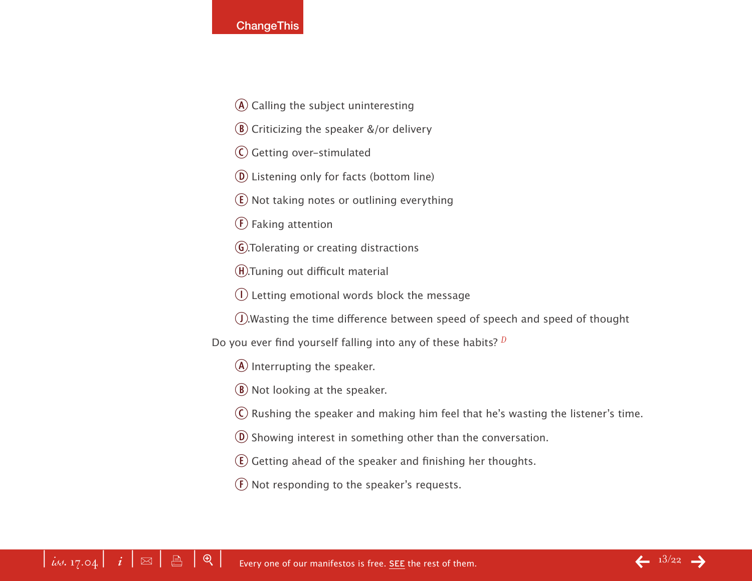#### **ChangeThis**

- $\overline{A}$  Calling the subject uninteresting
- $\left(\mathbf{B}\right)$  Criticizing the speaker &/or delivery
- C Getting over-stimulated
- (D) Listening only for facts (bottom line)
- $E$ ) Not taking notes or outlining everything
- $(F)$  Faking attention
- G. Tolerating or creating distractions
- h.Tuning out difficult material
- $\Omega$  Letting emotional words block the message
- j.Wasting the time difference between speed of speech and speed of thought
- Do you ever find yourself falling into any of these habits? *[d](#page-18-0)*
	- $\overline{A}$  Interrupting the speaker.
	- $\left(\mathbf{B}\right)$  Not looking at the speaker.
	- $\overline{C}$  Rushing the speaker and making him feel that he's wasting the listener's time.
	- $\overline{0}$  Showing interest in something other than the conversation.
	- $\left( \mathbf{E} \right)$  Getting ahead of the speaker and finishing her thoughts.
	- $F$  Not responding to the speaker's requests.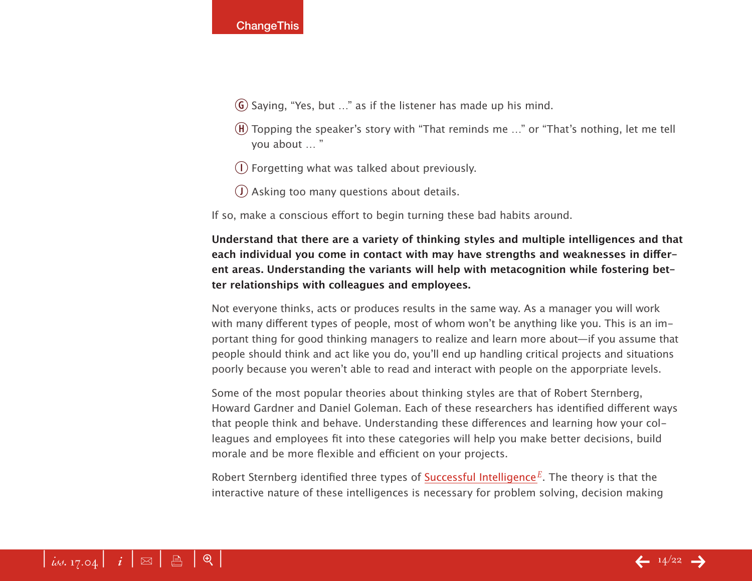- $\overline{G}$  Saying, "Yes, but ..." as if the listener has made up his mind.
- $(h)$  Topping the speaker's story with "That reminds me ..." or "That's nothing, let me tell you about … "
- $\Omega$  Forgetting what was talked about previously.
- $j$  Asking too many questions about details.

If so, make a conscious effort to begin turning these bad habits around.

**Understand that there are a variety of thinking styles and multiple intelligences and that each individual you come in contact with may have strengths and weaknesses in different areas. Understanding the variants will help with metacognition while fostering better relationships with colleagues and employees.** 

Not everyone thinks, acts or produces results in the same way. As a manager you will work with many different types of people, most of whom won't be anything like you. This is an important thing for good thinking managers to realize and learn more about—if you assume that people should think and act like you do, you'll end up handling critical projects and situations poorly because you weren't able to read and interact with people on the apporpriate levels.

Some of the most popular theories about thinking styles are that of Robert Sternberg, Howard Gardner and Daniel Goleman. Each of these researchers has identified different ways that people think and behave. Understanding these differences and learning how your colleagues and employees fit into these categories will help you make better decisions, build morale and be more flexible and efficient on your projects.

Robert Sternberg identified three types of [Successful Intelligence](http://www.yale.edu/rjsternberg/)<sup>E</sup>. Th[e](#page-18-0) theory is that the interactive nature of these intelligences is necessary for problem solving, decision making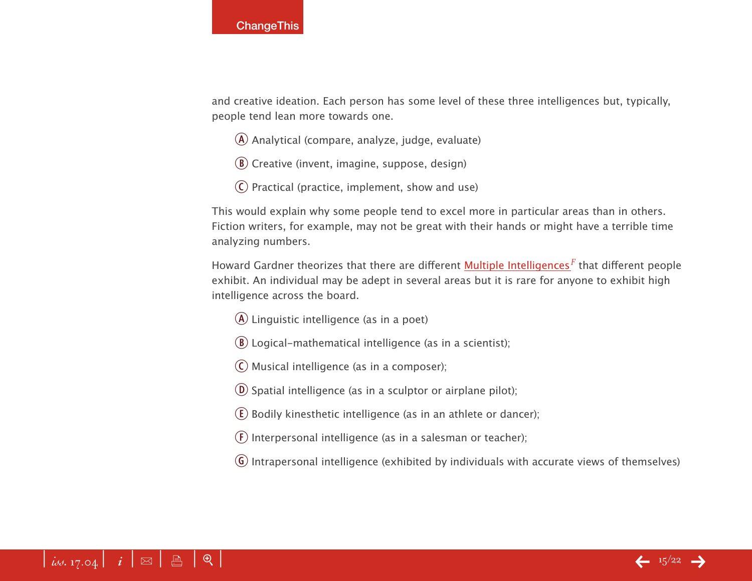and creative ideation. Each person has some level of these three intelligences but, typically, people tend lean more towards one.

- $\overline{A}$  Analytical (compare, analyze, judge, evaluate)
- $\circledR$  Creative (invent, imagine, suppose, design)
- $\overline{c}$  Practical (practice, implement, show and use)

This would explain why some people tend to excel more in particular areas than in others. Fiction writers, for example, may not be great with their hands or might have a terrible time analyzing numbers.

Howard Gardner theorizes that there are different [Multiple Intelligences](http://www.newhorizons.org/future/Creating_the_Future/crfut_gardner.html)*[f](#page-18-0)* that different people exhibit. An individual may be adept in several areas but it is rare for anyone to exhibit high intelligence across the board.

- $\overline{A}$  Linguistic intelligence (as in a poet)
- $\hat{B}$ ) Logical-mathematical intelligence (as in a scientist);
- $\overline{C}$  Musical intelligence (as in a composer);
- $\overline{D}$  Spatial intelligence (as in a sculptor or airplane pilot);
- $\overline{E}$ ) Bodily kinesthetic intelligence (as in an athlete or dancer);
- $(F)$  Interpersonal intelligence (as in a salesman or teacher);
- $\overline{G}$  Intrapersonal intelligence (exhibited by individuals with accurate views of themselves)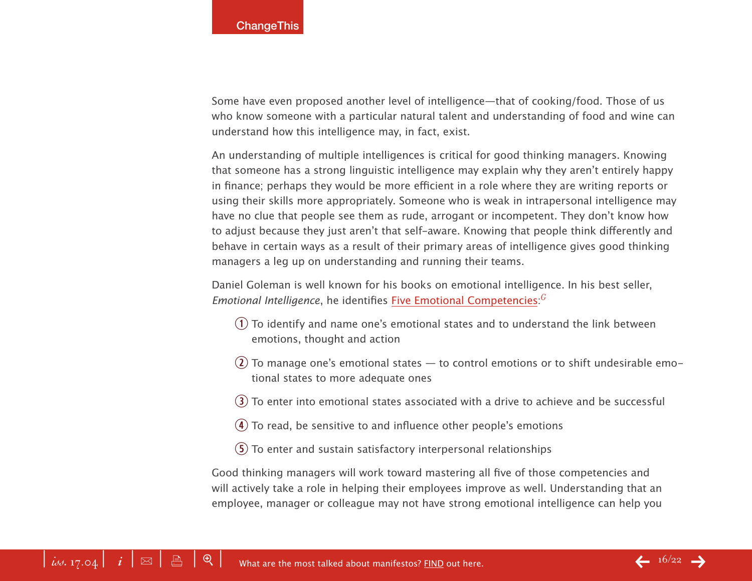Some have even proposed another level of intelligence—that of cooking/food. Those of us who know someone with a particular natural talent and understanding of food and wine can understand how this intelligence may, in fact, exist.

An understanding of multiple intelligences is critical for good thinking managers. Knowing that someone has a strong linguistic intelligence may explain why they aren't entirely happy in finance; perhaps they would be more efficient in a role where they are writing reports or using their skills more appropriately. Someone who is weak in intrapersonal intelligence may have no clue that people see them as rude, arrogant or incompetent. They don't know how to adjust because they just aren't that self-aware. Knowing that people think differently and behave in certain ways as a result of their primary areas of intelligence gives good thinking managers a leg up on understanding and running their teams.

Daniel Goleman is well known for his books on emotional intelligence. In his best seller, Emotional Intelli[g](#page-18-0)ence, he identifies **Five Emotional Competencies**:<sup>*C*</sup>

- $q$ ) To identify and name one's emotional states and to understand the link between emotions, thought and action
- $(2)$  To manage one's emotional states to control emotions or to shift undesirable emotional states to more adequate ones
- $\overline{3}$ ) To enter into emotional states associated with a drive to achieve and be successful
- $\overline{4}$ ) To read, be sensitive to and influence other people's emotions
- $\sigma$  To enter and sustain satisfactory interpersonal relationships

Good thinking managers will work toward mastering all five of those competencies and will actively take a role in helping their employees improve as well. Understanding that an employee, manager or colleague may not have strong emotional intelligence can help you

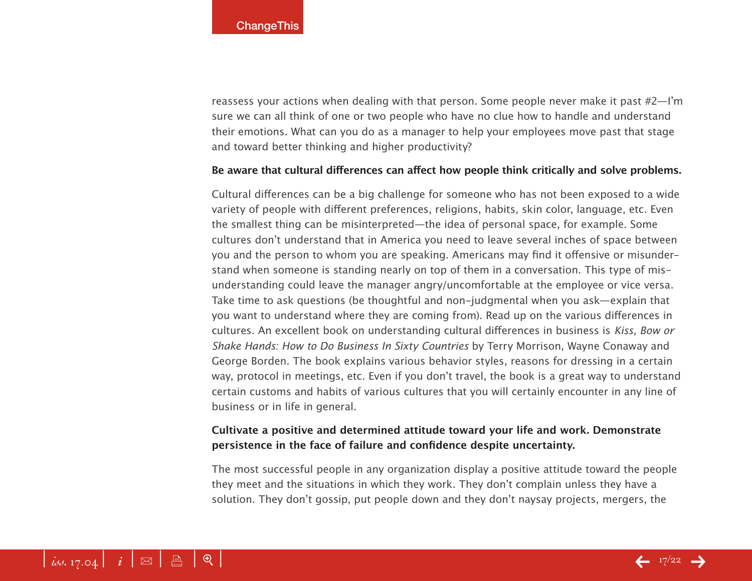reassess your actions when dealing with that person. Some people never make it past #2—I'm sure we can all think of one or two people who have no clue how to handle and understand their emotions. What can you do as a manager to help your employees move past that stage and toward better thinking and higher productivity?

#### **Be aware that cultural differences can affect how people think critically and solve problems.**

Cultural differences can be a big challenge for someone who has not been exposed to a wide variety of people with different preferences, religions, habits, skin color, language, etc. Even the smallest thing can be misinterpreted—the idea of personal space, for example. Some cultures don't understand that in America you need to leave several inches of space between you and the person to whom you are speaking. Americans may find it offensive or misunderstand when someone is standing nearly on top of them in a conversation. This type of misunderstanding could leave the manager angry/uncomfortable at the employee or vice versa. Take time to ask questions (be thoughtful and non-judgmental when you ask—explain that you want to understand where they are coming from). Read up on the various differences in cultures. An excellent book on understanding cultural differences in business is *Kiss, Bow or Shake Hands: How to Do Business In Sixty Countries* by Terry Morrison, Wayne Conaway and George Borden. The book explains various behavior styles, reasons for dressing in a certain way, protocol in meetings, etc. Even if you don't travel, the book is a great way to understand certain customs and habits of various cultures that you will certainly encounter in any line of business or in life in general.

## **Cultivate a positive and determined attitude toward your life and work. Demonstrate persistence in the face of failure and confidence despite uncertainty.**

The most successful people in any organization display a positive attitude toward the people they meet and the situations in which they work. They don't complain unless they have a solution. They don't gossip, put people down and they don't naysay projects, mergers, the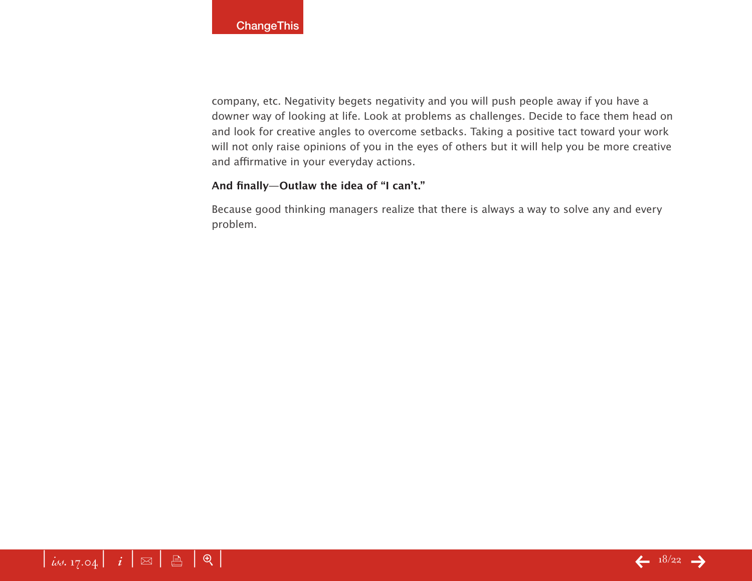company, etc. Negativity begets negativity and you will push people away if you have a downer way of looking at life. Look at problems as challenges. Decide to face them head on and look for creative angles to overcome setbacks. Taking a positive tact toward your work will not only raise opinions of you in the eyes of others but it will help you be more creative and affirmative in your everyday actions.

## **And finally—Outlaw the idea of "I can't."**

Because good thinking managers realize that there is always a way to solve any and every problem.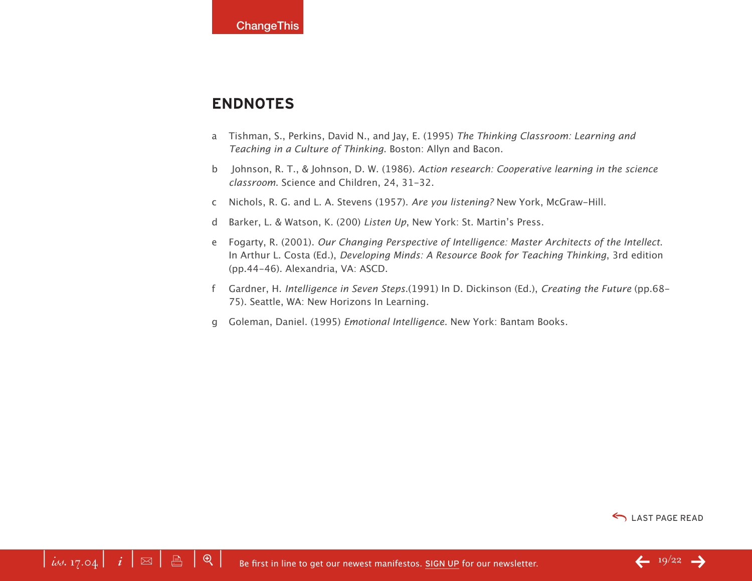# <span id="page-18-0"></span>**Endnotes**

- a Tishman, S., Perkins, David N., and Jay, E. (1995) *The Thinking Classroom: Learning and Teaching in a Culture of Thinking*. Boston: Allyn and Bacon.
- b Johnson, R. T., & Johnson, D. W. (1986). *Action research: Cooperative learning in the science classroom*. Science and Children, 24, 31-32.
- c Nichols, R. G. and L. A. Stevens (1957). *Are you listening?* New York, McGraw-Hill.
- d Barker, L. & Watson, K. (200) *Listen Up*, New York: St. Martin's Press.
- e Fogarty, R. (2001). *Our Changing Perspective of Intelligence: Master Architects of the Intellect*. In Arthur L. Costa (Ed.), *Developing Minds: A Resource Book for Teaching Thinking*, 3rd edition (pp.44-46). Alexandria, VA: ASCD.
- f Gardner, H. *Intelligence in Seven Steps*.(1991) In D. Dickinson (Ed.), *Creating the Future* (pp.68- 75). Seattle, WA: New Horizons In Learning.
- g Goleman, Daniel. (1995) *Emotional Intelligence*. New York: Bantam Books.

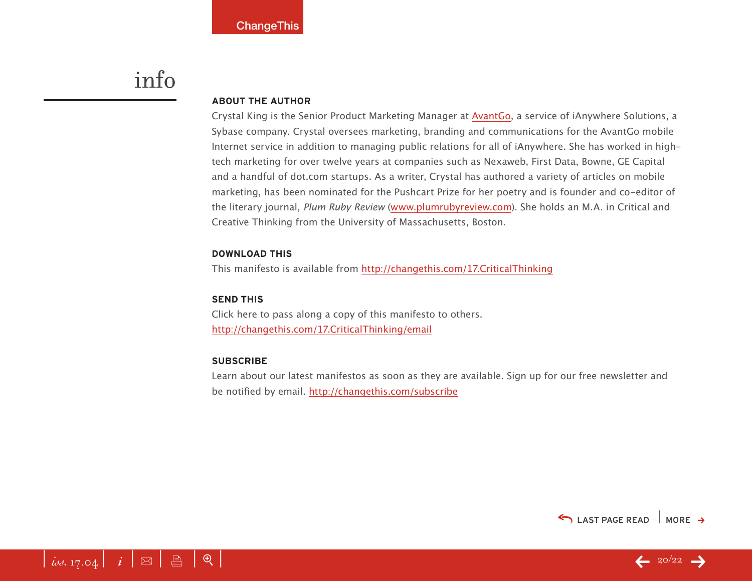# info

#### **About the Author**

Crystal King is the Senior Product Marketing Manager at [AvantGo,](http://www.avantgo.com/frontdoor/index.html) a service of iAnywhere Solutions, a Sybase company. Crystal oversees marketing, branding and communications for the AvantGo mobile Internet service in addition to managing public relations for all of iAnywhere. She has worked in hightech marketing for over twelve years at companies such as Nexaweb, First Data, Bowne, GE Capital and a handful of dot.com startups. As a writer, Crystal has authored a variety of articles on mobile marketing, has been nominated for the Pushcart Prize for her poetry and is founder and co-editor of the literary journal, *Plum Ruby Review* ([www.plumrubyreview.com](http://www.plumrubyreview.com)). She holds an M.A. in Critical and Creative Thinking from the University of Massachusetts, Boston.

#### **download this**

This manifesto is available from <http://changethis.com/17.CriticalThinking>

#### **SEND THIS**

Click here to pass along a copy of this manifesto to others. <http://changethis.com/17.CriticalThinking/email>

#### **Subscribe**

Learn about our latest manifestos as soon as they are available. Sign up for our free newsletter and be notified by email.<http://changethis.com/subscribe>





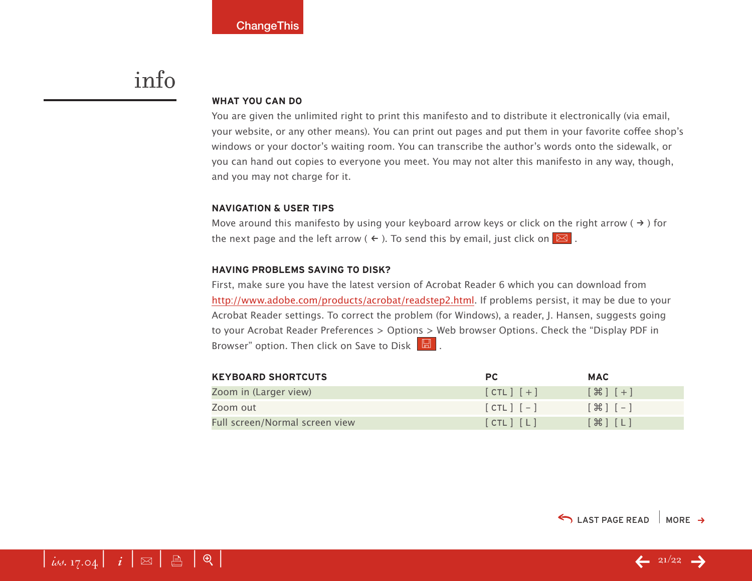# <span id="page-20-0"></span>info

#### **WHAT YOU CAN DO**

You are given the unlimited right to print this manifesto and to distribute it electronically (via email, your website, or any other means). You can print out pages and put them in your favorite coffee shop's windows or your doctor's waiting room. You can transcribe the author's words onto the sidewalk, or you can hand out copies to everyone you meet. You may not alter this manifesto in any way, though, and you may not charge for it.

#### **Navigation & User Tips**

Move around this manifesto by using your keyboard arrow keys or click on the right arrow ( $\rightarrow$ ) for the next page and the left arrow (  $\leftarrow$  ). To send this by email, just click on  $\boxed{\boxtimes}$  .

#### **Having problems saving to disk?**

First, make sure you have the latest version of Acrobat Reader 6 which you can download from <http://www.adobe.com/products/acrobat/readstep2.html>. If problems persist, it may be due to your Acrobat Reader settings. To correct the problem (for Windows), a reader, J. Hansen, suggests going to your Acrobat Reader Preferences > Options > Web browser Options. Check the "Display PDF in Browser" option. Then click on Save to Disk  $\boxed{\boxtimes}$ .

| <b>KEYBOARD SHORTCUTS</b>      | <b>PC</b>     | <b>MAC</b>                         |
|--------------------------------|---------------|------------------------------------|
| Zoom in (Larger view)          | $[CIL]$ $[+]$ | $[$ $\mathcal{H}$ $]$ $[$ $+$ $]$  |
| Zoom out                       | $[CHL]$ $[-]$ | $[ \; \mathcal{H} \; ] \; [- \; ]$ |
| Full screen/Normal screen view | [CIL] [L]     | $[\mathcal{H}]$ $[L]$              |